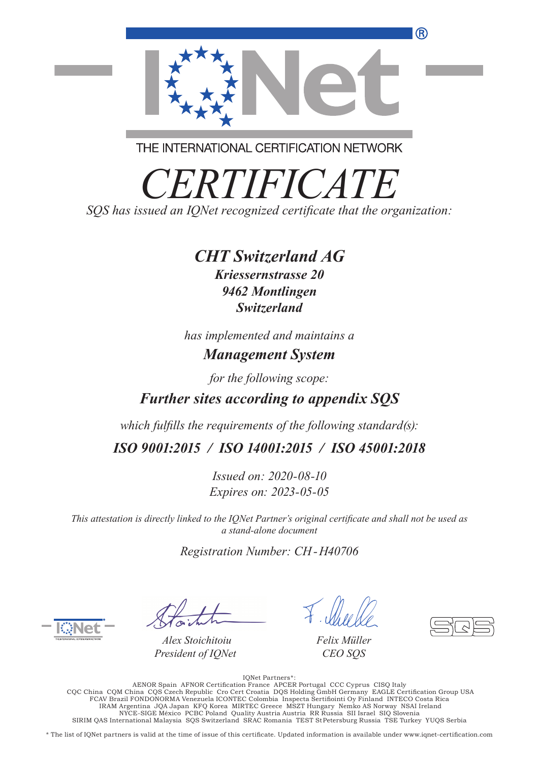

THE INTERNATIONAL CERTIFICATION NETWORK

*CERTIFICATE SQS has issued an IQNet recognized certificate that the organization:*

## *CHT Switzerland AG*

*Kriessernstrasse 20 9462 Montlingen Switzerland*

*has implemented and maintains a Management System*

*for the following scope:*

## *Further sites according to appendix SQS*

*which fulfills the requirements of the following standard(s):*

*ISO 9001:2015 / ISO 14001:2015 / ISO 45001:2018*

*Issued on: 2020-08-10 Expires on: 2023-05-05*

*This attestation is directly linked to the IQNet Partner's original certificate and shall not be used as a stand-alone document*

*Registration Number: CH-H40706*

*Alex Stoichitoiu President of IQNet*

*Felix Müller CEO SQS*

.:\* IQNet Partners<br>AENOR Spain AFNOR Certification France APCER Portugal CCC Cyprus CISQ Italy<br>CQC China CQM China CQS Czech Republic Cro Cert Croatia DQS Holding GmbH Germany EAGLE Certification Group USA<br>FCAV Br IRAM Argentina JQA Japan KFQ Korea MIRTEC Greece MSZT Hungary Nemko AS Norway NSAI Ireland NYCE-SIGE México PCBC Poland Quality Austria Austria RR Russia SII Israel SIQ Slovenia SIRIM QAS International Malaysia SQS Switzerland SRAC Romania TEST StPetersburg Russia TSE Turkey YUQS Serbia

\* The list of IQNet partners is valid at the time of issue of this certificate. Updated information is available under www.iqnet-certification.com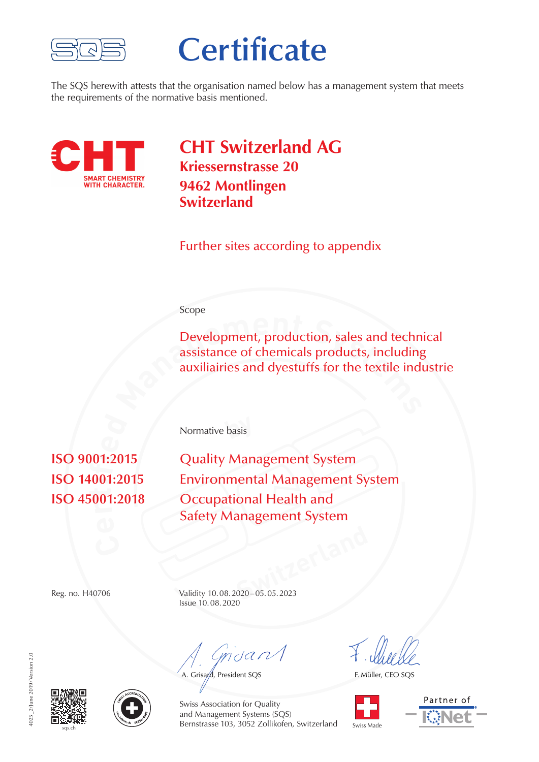

# **Certificate**

The SQS herewith attests that the organisation named below has a management system that meets the requirements of the normative basis mentioned.



**CHT Switzerland AG Kriessernstrasse 20 9462 Montlingen Switzerland**

Further sites according to appendix

#### Scope

**Development, production, sales and techn assistance of chemicals products, including auxiliairies and dyestuffs for the textile ind** Development, production, sales and technical assistance of chemicals products, including auxiliairies and dyestuffs for the textile industrie

**by** Normative basis

**r** $\mathbf{a}$ **i** $\begin{bmatrix} 0 & 1 \end{bmatrix}$ **isO** 9001:2015 **Quality Management System Environmental Management System Occupational Health and** Safety Management System

**Switzerland** Reg. no. H40706 Validity 10.08.2020–05.05.2023 Issue 10.08.2020

 $m$ dan $\Lambda$ 

A. Grisard, President SQS

F. Müller, CEO SQS









Swiss Association for Quality and Management Systems (SQS) Bernstrasse 103, 3052 Zollikofen, Switzerland